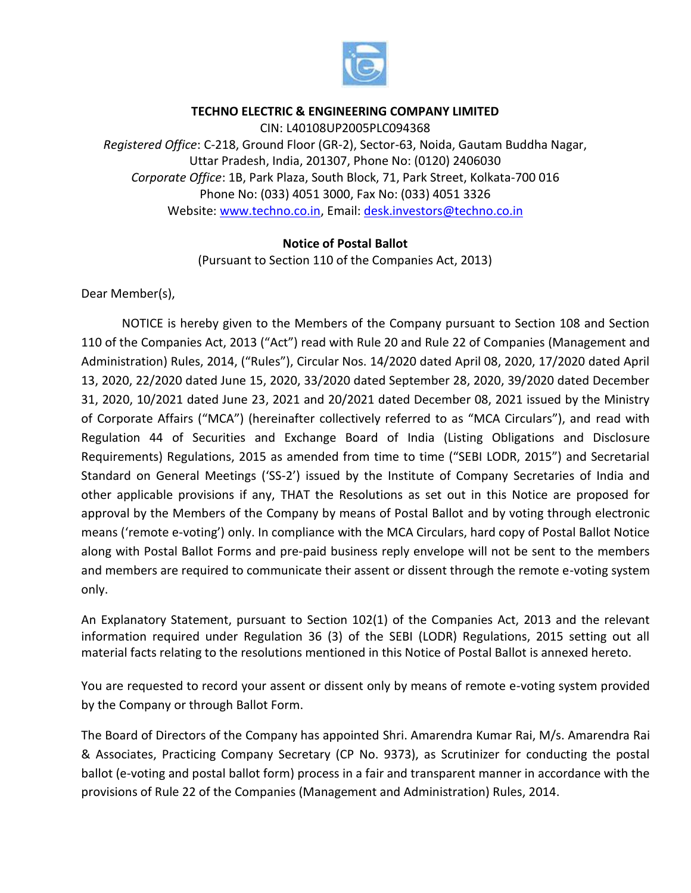

# **TECHNO ELECTRIC & ENGINEERING COMPANY LIMITED**

CIN: L40108UP2005PLC094368 *Registered Office*: C-218, Ground Floor (GR-2), Sector-63, Noida, Gautam Buddha Nagar, Uttar Pradesh, India, 201307, Phone No: (0120) 2406030 *Corporate Office*: 1B, Park Plaza, South Block, 71, Park Street, Kolkata-700 016 Phone No: (033) 4051 3000, Fax No: (033) 4051 3326 Website: [www.techno.co.in,](http://www.techno.co.in/) Email: [desk.investors@techno.co.in](mailto:desk.investors@techno.co.in)

# **Notice of Postal Ballot**

(Pursuant to Section 110 of the Companies Act, 2013)

Dear Member(s),

NOTICE is hereby given to the Members of the Company pursuant to Section 108 and Section 110 of the Companies Act, 2013 ("Act") read with Rule 20 and Rule 22 of Companies (Management and Administration) Rules, 2014, ("Rules"), Circular Nos. 14/2020 dated April 08, 2020, 17/2020 dated April 13, 2020, 22/2020 dated June 15, 2020, 33/2020 dated September 28, 2020, 39/2020 dated December 31, 2020, 10/2021 dated June 23, 2021 and 20/2021 dated December 08, 2021 issued by the Ministry of Corporate Affairs ("MCA") (hereinafter collectively referred to as "MCA Circulars"), and read with Regulation 44 of Securities and Exchange Board of India (Listing Obligations and Disclosure Requirements) Regulations, 2015 as amended from time to time ("SEBI LODR, 2015") and Secretarial Standard on General Meetings ('SS-2') issued by the Institute of Company Secretaries of India and other applicable provisions if any, THAT the Resolutions as set out in this Notice are proposed for approval by the Members of the Company by means of Postal Ballot and by voting through electronic means ('remote e-voting') only. In compliance with the MCA Circulars, hard copy of Postal Ballot Notice along with Postal Ballot Forms and pre-paid business reply envelope will not be sent to the members and members are required to communicate their assent or dissent through the remote e-voting system only.

An Explanatory Statement, pursuant to Section 102(1) of the Companies Act, 2013 and the relevant information required under Regulation 36 (3) of the SEBI (LODR) Regulations, 2015 setting out all material facts relating to the resolutions mentioned in this Notice of Postal Ballot is annexed hereto.

You are requested to record your assent or dissent only by means of remote e-voting system provided by the Company or through Ballot Form.

The Board of Directors of the Company has appointed Shri. Amarendra Kumar Rai, M/s. Amarendra Rai & Associates, Practicing Company Secretary (CP No. 9373), as Scrutinizer for conducting the postal ballot (e-voting and postal ballot form) process in a fair and transparent manner in accordance with the provisions of Rule 22 of the Companies (Management and Administration) Rules, 2014.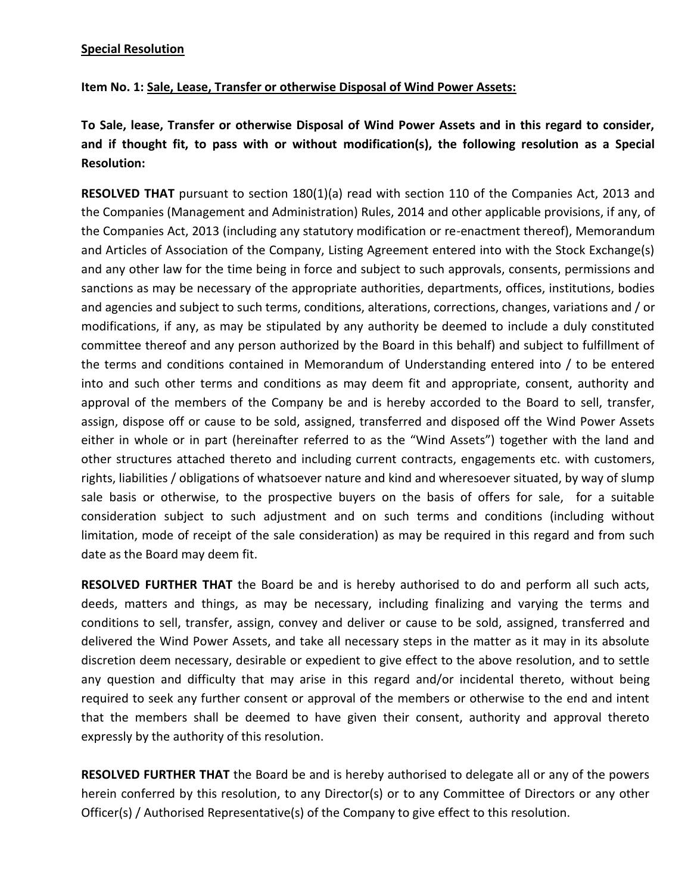**Item No. 1: Sale, Lease, Transfer or otherwise Disposal of Wind Power Assets:**

**To Sale, lease, Transfer or otherwise Disposal of Wind Power Assets and in this regard to consider, and if thought fit, to pass with or without modification(s), the following resolution as a Special Resolution:**

**RESOLVED THAT** pursuant to section 180(1)(a) read with section 110 of the Companies Act, 2013 and the Companies (Management and Administration) Rules, 2014 and other applicable provisions, if any, of the Companies Act, 2013 (including any statutory modification or re-enactment thereof), Memorandum and Articles of Association of the Company, Listing Agreement entered into with the Stock Exchange(s) and any other law for the time being in force and subject to such approvals, consents, permissions and sanctions as may be necessary of the appropriate authorities, departments, offices, institutions, bodies and agencies and subject to such terms, conditions, alterations, corrections, changes, variations and / or modifications, if any, as may be stipulated by any authority be deemed to include a duly constituted committee thereof and any person authorized by the Board in this behalf) and subject to fulfillment of the terms and conditions contained in Memorandum of Understanding entered into / to be entered into and such other terms and conditions as may deem fit and appropriate, consent, authority and approval of the members of the Company be and is hereby accorded to the Board to sell, transfer, assign, dispose off or cause to be sold, assigned, transferred and disposed off the Wind Power Assets either in whole or in part (hereinafter referred to as the "Wind Assets") together with the land and other structures attached thereto and including current contracts, engagements etc. with customers, rights, liabilities / obligations of whatsoever nature and kind and wheresoever situated, by way of slump sale basis or otherwise, to the prospective buyers on the basis of offers for sale, for a suitable consideration subject to such adjustment and on such terms and conditions (including without limitation, mode of receipt of the sale consideration) as may be required in this regard and from such date as the Board may deem fit.

**RESOLVED FURTHER THAT** the Board be and is hereby authorised to do and perform all such acts, deeds, matters and things, as may be necessary, including finalizing and varying the terms and conditions to sell, transfer, assign, convey and deliver or cause to be sold, assigned, transferred and delivered the Wind Power Assets, and take all necessary steps in the matter as it may in its absolute discretion deem necessary, desirable or expedient to give effect to the above resolution, and to settle any question and difficulty that may arise in this regard and/or incidental thereto, without being required to seek any further consent or approval of the members or otherwise to the end and intent that the members shall be deemed to have given their consent, authority and approval thereto expressly by the authority of this resolution.

**RESOLVED FURTHER THAT** the Board be and is hereby authorised to delegate all or any of the powers herein conferred by this resolution, to any Director(s) or to any Committee of Directors or any other Officer(s) / Authorised Representative(s) of the Company to give effect to this resolution.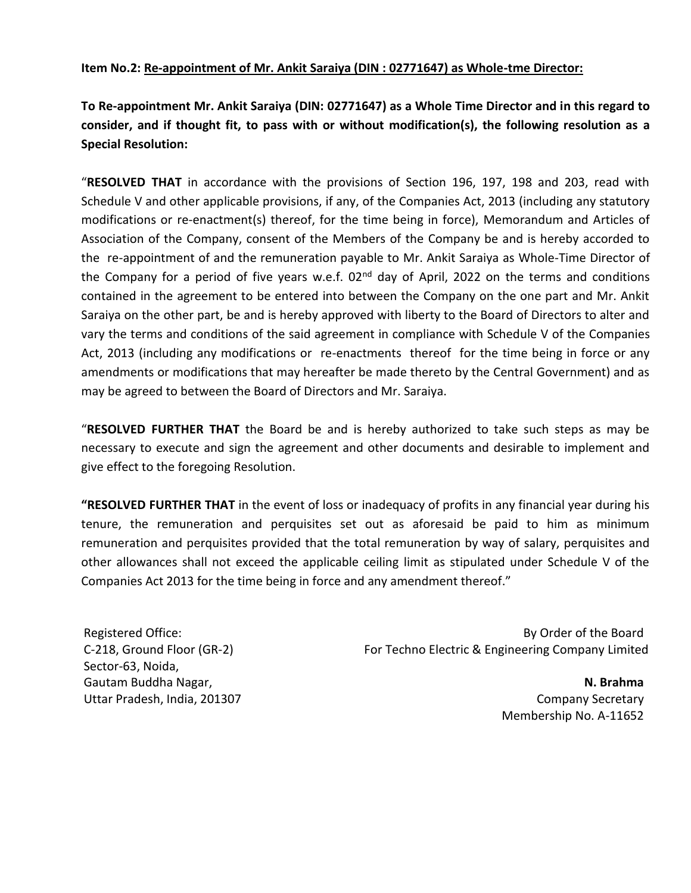# **Item No.2: Re-appointment of Mr. Ankit Saraiya (DIN : 02771647) as Whole-tme Director:**

**To Re-appointment Mr. Ankit Saraiya (DIN: 02771647) as a Whole Time Director and in this regard to consider, and if thought fit, to pass with or without modification(s), the following resolution as a Special Resolution:**

"**RESOLVED THAT** in accordance with the provisions of Section 196, 197, 198 and 203, read with Schedule V and other applicable provisions, if any, of the Companies Act, 2013 (including any statutory modifications or re-enactment(s) thereof, for the time being in force), Memorandum and Articles of Association of the Company, consent of the Members of the Company be and is hereby accorded to the re-appointment of and the remuneration payable to Mr. Ankit Saraiya as Whole-Time Director of the Company for a period of five years w.e.f. 02<sup>nd</sup> day of April, 2022 on the terms and conditions contained in the agreement to be entered into between the Company on the one part and Mr. Ankit Saraiya on the other part, be and is hereby approved with liberty to the Board of Directors to alter and vary the terms and conditions of the said agreement in compliance with Schedule V of the Companies Act, 2013 (including any modifications or re-enactments thereof for the time being in force or any amendments or modifications that may hereafter be made thereto by the Central Government) and as may be agreed to between the Board of Directors and Mr. Saraiya.

"**RESOLVED FURTHER THAT** the Board be and is hereby authorized to take such steps as may be necessary to execute and sign the agreement and other documents and desirable to implement and give effect to the foregoing Resolution.

**"RESOLVED FURTHER THAT** in the event of loss or inadequacy of profits in any financial year during his tenure, the remuneration and perquisites set out as aforesaid be paid to him as minimum remuneration and perquisites provided that the total remuneration by way of salary, perquisites and other allowances shall not exceed the applicable ceiling limit as stipulated under Schedule V of the Companies Act 2013 for the time being in force and any amendment thereof."

Registered Office: C-218, Ground Floor (GR-2) Sector-63, Noida, Gautam Buddha Nagar, Uttar Pradesh, India, 201307

By Order of the Board For Techno Electric & Engineering Company Limited

> **N. Brahma** Company Secretary Membership No. A-11652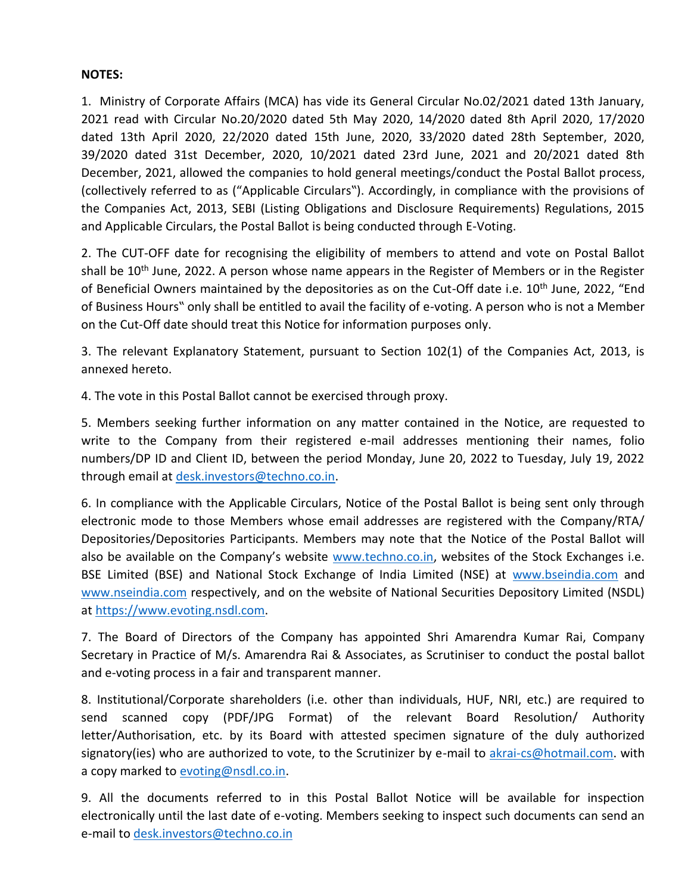# **NOTES:**

1. Ministry of Corporate Affairs (MCA) has vide its General Circular No.02/2021 dated 13th January, 2021 read with Circular No.20/2020 dated 5th May 2020, 14/2020 dated 8th April 2020, 17/2020 dated 13th April 2020, 22/2020 dated 15th June, 2020, 33/2020 dated 28th September, 2020, 39/2020 dated 31st December, 2020, 10/2021 dated 23rd June, 2021 and 20/2021 dated 8th December, 2021, allowed the companies to hold general meetings/conduct the Postal Ballot process, (collectively referred to as ("Applicable Circulars"). Accordingly, in compliance with the provisions of the Companies Act, 2013, SEBI (Listing Obligations and Disclosure Requirements) Regulations, 2015 and Applicable Circulars, the Postal Ballot is being conducted through E-Voting.

2. The CUT-OFF date for recognising the eligibility of members to attend and vote on Postal Ballot shall be 10<sup>th</sup> June, 2022. A person whose name appears in the Register of Members or in the Register of Beneficial Owners maintained by the depositories as on the Cut-Off date i.e.  $10^{th}$  June, 2022, "End of Business Hours" only shall be entitled to avail the facility of e-voting. A person who is not a Member on the Cut-Off date should treat this Notice for information purposes only.

3. The relevant Explanatory Statement, pursuant to Section 102(1) of the Companies Act, 2013, is annexed hereto.

4. The vote in this Postal Ballot cannot be exercised through proxy.

5. Members seeking further information on any matter contained in the Notice, are requested to write to the Company from their registered e-mail addresses mentioning their names, folio numbers/DP ID and Client ID, between the period Monday, June 20, 2022 to Tuesday, July 19, 2022 through email at [desk.investors@techno.co.in.](mailto:desk.investors@techno.co.in)

6. In compliance with the Applicable Circulars, Notice of the Postal Ballot is being sent only through electronic mode to those Members whose email addresses are registered with the Company/RTA/ Depositories/Depositories Participants. Members may note that the Notice of the Postal Ballot will also be available on the Company's website [www.techno.co.in,](http://www.techno.co.in/) websites of the Stock Exchanges i.e. BSE Limited (BSE) and National Stock Exchange of India Limited (NSE) at [www.bseindia.com](http://www.bseindia.com/) and [www.nseindia.com](http://www.nseindia.com/) respectively, and on the website of National Securities Depository Limited (NSDL) at [https://www.evoting.nsdl.com.](https://www.evoting.nsdl.com/)

7. The Board of Directors of the Company has appointed Shri Amarendra Kumar Rai, Company Secretary in Practice of M/s. Amarendra Rai & Associates, as Scrutiniser to conduct the postal ballot and e-voting process in a fair and transparent manner.

8. Institutional/Corporate shareholders (i.e. other than individuals, HUF, NRI, etc.) are required to send scanned copy (PDF/JPG Format) of the relevant Board Resolution/ Authority letter/Authorisation, etc. by its Board with attested specimen signature of the duly authorized signatory(ies) who are authorized to vote, to the Scrutinizer by e-mail to [akrai-cs@hotmail.com.](mailto:akrai-cs@hotmail.com) with a copy marked to [evoting@nsdl.co.in.](mailto:evoting@nsdl.co.in)

9. All the documents referred to in this Postal Ballot Notice will be available for inspection electronically until the last date of e-voting. Members seeking to inspect such documents can send an e-mail to [desk.investors@techno.co.in](mailto:desk.investors@techno.co.in)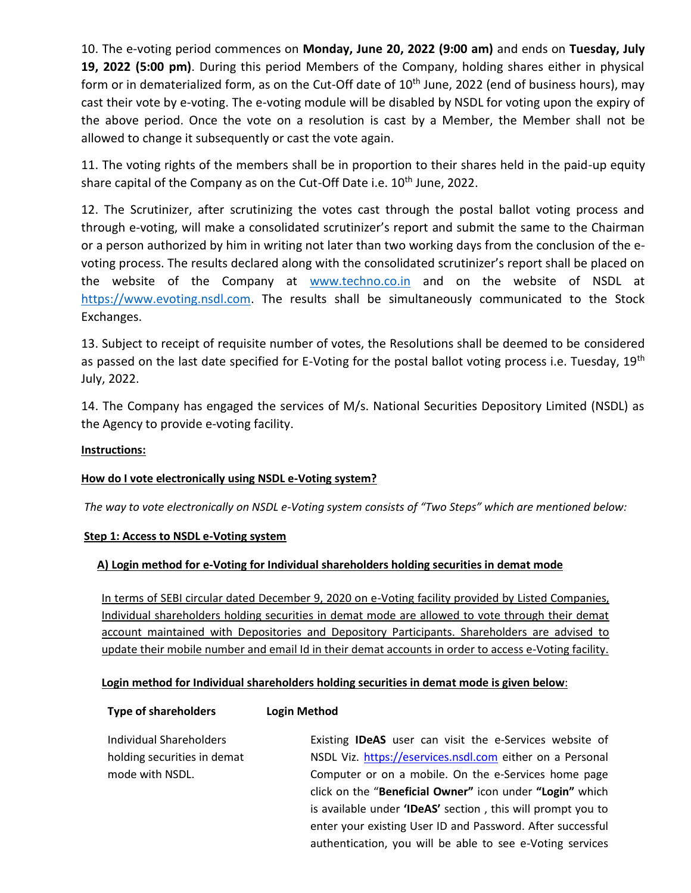10. The e-voting period commences on **Monday, June 20, 2022 (9:00 am)** and ends on **Tuesday, July 19, 2022 (5:00 pm)**. During this period Members of the Company, holding shares either in physical form or in dematerialized form, as on the Cut-Off date of 10<sup>th</sup> June, 2022 (end of business hours), may cast their vote by e-voting. The e-voting module will be disabled by NSDL for voting upon the expiry of the above period. Once the vote on a resolution is cast by a Member, the Member shall not be allowed to change it subsequently or cast the vote again.

11. The voting rights of the members shall be in proportion to their shares held in the paid-up equity share capital of the Company as on the Cut-Off Date i.e. 10<sup>th</sup> June, 2022.

12. The Scrutinizer, after scrutinizing the votes cast through the postal ballot voting process and through e-voting, will make a consolidated scrutinizer's report and submit the same to the Chairman or a person authorized by him in writing not later than two working days from the conclusion of the evoting process. The results declared along with the consolidated scrutinizer's report shall be placed on the website of the Company at [www.techno.co.in](http://www.techno.co.in/) and on the website of NSDL at [https://www.evoting.nsdl.com.](https://www.evoting.nsdl.com/) The results shall be simultaneously communicated to the Stock Exchanges.

13. Subject to receipt of requisite number of votes, the Resolutions shall be deemed to be considered as passed on the last date specified for E-Voting for the postal ballot voting process i.e. Tuesday, 19<sup>th</sup> July, 2022.

14. The Company has engaged the services of M/s. National Securities Depository Limited (NSDL) as the Agency to provide e-voting facility.

# **Instructions:**

# **How do I vote electronically using NSDL e-Voting system?**

**Type of shareholders Login Method**

*The way to vote electronically on NSDL e-Voting system consists of "Two Steps" which are mentioned below:*

# **Step 1: Access to NSDL e-Voting system**

# **A) Login method for e-Voting for Individual shareholders holding securities in demat mode**

In terms of SEBI circular dated December 9, 2020 on e-Voting facility provided by Listed Companies, Individual shareholders holding securities in demat mode are allowed to vote through their demat account maintained with Depositories and Depository Participants. Shareholders are advised to update their mobile number and email Id in their demat accounts in order to access e-Voting facility.

# **Login method for Individual shareholders holding securities in demat mode is given below**:

| <b>Individual Shareholders</b> | Existing <b>IDeAS</b> user can visit the e-Services website of |
|--------------------------------|----------------------------------------------------------------|
| holding securities in demat    | NSDL Viz. https://eservices.nsdl.com either on a Personal      |
| mode with NSDL.                | Computer or on a mobile. On the e-Services home page           |
|                                | click on the "Beneficial Owner" icon under "Login" which       |
|                                | is available under 'IDeAS' section, this will prompt you to    |
|                                | enter your existing User ID and Password. After successful     |
|                                | authentication, you will be able to see e-Voting services      |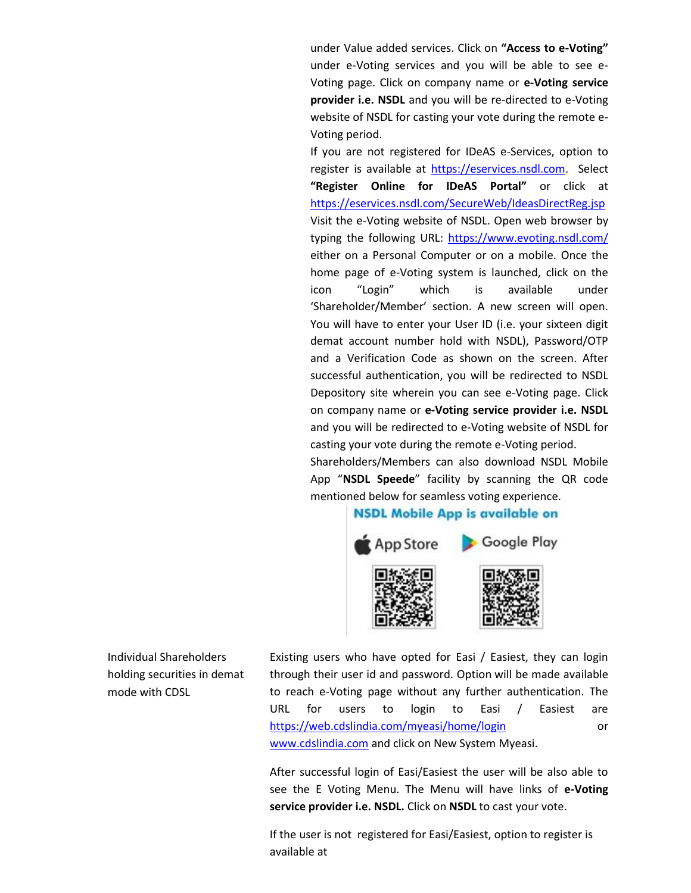under Value added services. Click on **"Access to e-Voting"** under e-Voting services and you will be able to see e-Voting page. Click on company name or **e-Voting service provider i.e. NSDL** and you will be re-directed to e-Voting website of NSDL for casting your vote during the remote e-Voting period.

If you are not registered for IDeAS e-Services, option to register is available at [https://eservices.nsdl.com.](https://eservices.nsdl.com/) Select **"Register Online for IDeAS Portal"** or click at <https://eservices.nsdl.com/SecureWeb/IdeasDirectReg.jsp> Visit the e-Voting website of NSDL. Open web browser by typing the following URL:<https://www.evoting.nsdl.com/> either on a Personal Computer or on a mobile. Once the home page of e-Voting system is launched, click on the icon "Login" which is available under 'Shareholder/Member' section. A new screen will open. You will have to enter your User ID (i.e. your sixteen digit demat account number hold with NSDL), Password/OTP and a Verification Code as shown on the screen. After successful authentication, you will be redirected to NSDL Depository site wherein you can see e-Voting page. Click on company name or **e-Voting service provider i.e. NSDL** and you will be redirected to e-Voting website of NSDL for casting your vote during the remote e-Voting period. Shareholders/Members can also download NSDL Mobile App "**NSDL Speede**" facility by scanning the QR code mentioned below for seamless voting experience.

# **NSDL Mobile App is available on**



Individual Shareholders holding securities in demat mode with CDSL

Existing users who have opted for Easi / Easiest, they can login through their user id and password. Option will be made available to reach e-Voting page without any further authentication. The URL for users to login to Easi / Easiest are <https://web.cdslindia.com/myeasi/home/login> or [www.cdslindia.com](http://www.cdslindia.com/) and click on New System Myeasi.

After successful login of Easi/Easiest the user will be also able to see the E Voting Menu. The Menu will have links of **e-Voting service provider i.e. NSDL.** Click on **NSDL** to cast your vote.

If the user is not registered for Easi/Easiest, option to register is available at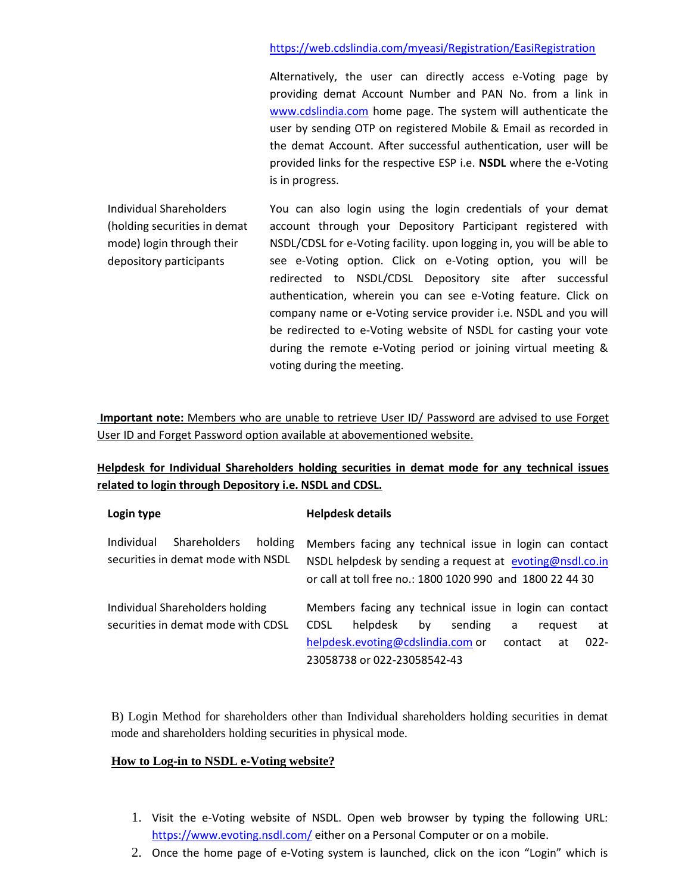# <https://web.cdslindia.com/myeasi/Registration/EasiRegistration>

Alternatively, the user can directly access e-Voting page by providing demat Account Number and PAN No. from a link in [www.cdslindia.com](http://www.cdslindia.com/) home page. The system will authenticate the user by sending OTP on registered Mobile & Email as recorded in the demat Account. After successful authentication, user will be provided links for the respective ESP i.e. **NSDL** where the e-Voting is in progress.

Individual Shareholders (holding securities in demat mode) login through their depository participants

You can also login using the login credentials of your demat account through your Depository Participant registered with NSDL/CDSL for e-Voting facility. upon logging in, you will be able to see e-Voting option. Click on e-Voting option, you will be redirected to NSDL/CDSL Depository site after successful authentication, wherein you can see e-Voting feature. Click on company name or e-Voting service provider i.e. NSDL and you will be redirected to e-Voting website of NSDL for casting your vote during the remote e-Voting period or joining virtual meeting & voting during the meeting.

**Important note:** Members who are unable to retrieve User ID/ Password are advised to use Forget User ID and Forget Password option available at abovementioned website.

**Helpdesk for Individual Shareholders holding securities in demat mode for any technical issues related to login through Depository i.e. NSDL and CDSL.**

| Login type                                                                  | <b>Helpdesk details</b>                                                                                                                                                          |  |  |  |
|-----------------------------------------------------------------------------|----------------------------------------------------------------------------------------------------------------------------------------------------------------------------------|--|--|--|
| Shareholders<br>Individual<br>holding<br>securities in demat mode with NSDL | Members facing any technical issue in login can contact<br>NSDL helpdesk by sending a request at evoting@nsdl.co.in<br>or call at toll free no.: 1800 1020 990 and 1800 22 44 30 |  |  |  |
| Individual Shareholders holding                                             | Members facing any technical issue in login can contact                                                                                                                          |  |  |  |
| securities in demat mode with CDSL                                          | helpdesk<br>sending<br><b>CDSL</b><br>bv<br>at<br>reguest<br>a                                                                                                                   |  |  |  |
|                                                                             | helpdesk.evoting@cdslindia.com or<br>$022 -$<br>contact<br>at                                                                                                                    |  |  |  |
|                                                                             | 23058738 or 022-23058542-43                                                                                                                                                      |  |  |  |

B) Login Method for shareholders other than Individual shareholders holding securities in demat mode and shareholders holding securities in physical mode.

# **How to Log-in to NSDL e-Voting website?**

- 1. Visit the e-Voting website of NSDL. Open web browser by typing the following URL: <https://www.evoting.nsdl.com/> either on a Personal Computer or on a mobile.
- 2. Once the home page of e-Voting system is launched, click on the icon "Login" which is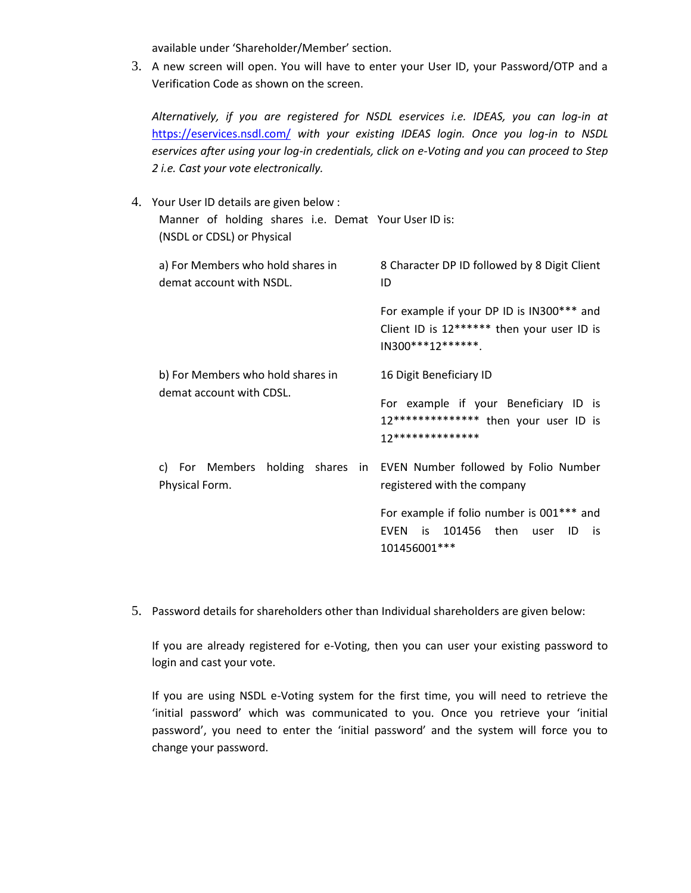available under 'Shareholder/Member' section.

3. A new screen will open. You will have to enter your User ID, your Password/OTP and a Verification Code as shown on the screen.

*Alternatively, if you are registered for NSDL eservices i.e. IDEAS, you can log-in at*  <https://eservices.nsdl.com/> *with your existing IDEAS login. Once you log-in to NSDL eservices after using your log-in credentials, click on e-Voting and you can proceed to Step 2 i.e. Cast your vote electronically.*

- 4. Your User ID details are given below : Manner of holding shares i.e. Demat Your User ID is: (NSDL or CDSL) or Physical a) For Members who hold shares in demat account with NSDL. 8 Character DP ID followed by 8 Digit Client ID For example if your DP ID is IN300\*\*\* and Client ID is 12\*\*\*\*\*\* then your user ID is IN300\*\*\*12\*\*\*\*\*\*. b) For Members who hold shares in demat account with CDSL. 16 Digit Beneficiary ID For example if your Beneficiary ID is 12\*\*\*\*\*\*\*\*\*\*\*\*\*\* then your user ID is 12\*\*\*\*\*\*\*\*\*\*\*\*\*\* c) For Members holding shares in EVEN Number followed by Folio Number Physical Form. registered with the company For example if folio number is 001\*\*\* and EVEN is 101456 then user ID is 101456001\*\*\*
- 5. Password details for shareholders other than Individual shareholders are given below:

If you are already registered for e-Voting, then you can user your existing password to login and cast your vote.

If you are using NSDL e-Voting system for the first time, you will need to retrieve the 'initial password' which was communicated to you. Once you retrieve your 'initial password', you need to enter the 'initial password' and the system will force you to change your password.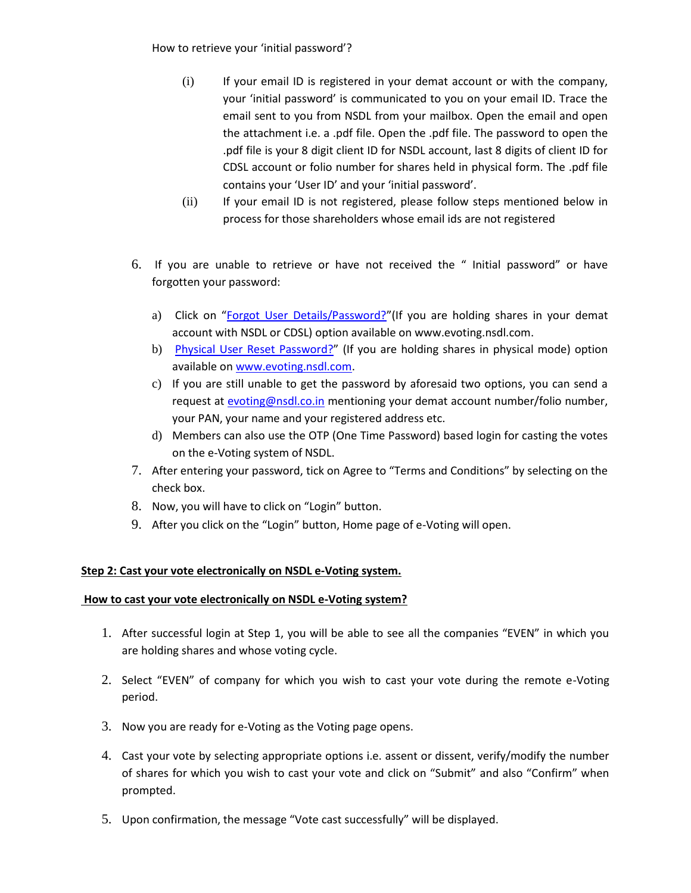How to retrieve your 'initial password'?

- (i) If your email ID is registered in your demat account or with the company, your 'initial password' is communicated to you on your email ID. Trace the email sent to you from NSDL from your mailbox. Open the email and open the attachment i.e. a .pdf file. Open the .pdf file. The password to open the .pdf file is your 8 digit client ID for NSDL account, last 8 digits of client ID for CDSL account or folio number for shares held in physical form. The .pdf file contains your 'User ID' and your 'initial password'.
- (ii) If your email ID is not registered, please follow steps mentioned below in process for those shareholders whose email ids are not registered
- 6. If you are unable to retrieve or have not received the " Initial password" or have forgotten your password:
	- a) Click on "[Forgot User Details/Password?](https://www.evoting.nsdl.com/eVotingWeb/commonhtmls/NewUser.jsp)"(If you are holding shares in your demat account with NSDL or CDSL) option available on www.evoting.nsdl.com.
	- b) [Physical User Reset Password?](https://www.evoting.nsdl.com/eVotingWeb/commonhtmls/PhysicalUser.jsp)" (If you are holding shares in physical mode) option available on [www.evoting.nsdl.com.](http://www.evoting.nsdl.com/)
	- c) If you are still unable to get the password by aforesaid two options, you can send a request at [evoting@nsdl.co.in](mailto:evoting@nsdl.co.in) mentioning your demat account number/folio number, your PAN, your name and your registered address etc.
	- d) Members can also use the OTP (One Time Password) based login for casting the votes on the e-Voting system of NSDL.
- 7. After entering your password, tick on Agree to "Terms and Conditions" by selecting on the check box.
- 8. Now, you will have to click on "Login" button.
- 9. After you click on the "Login" button, Home page of e-Voting will open.

# **Step 2: Cast your vote electronically on NSDL e-Voting system.**

# **How to cast your vote electronically on NSDL e-Voting system?**

- 1. After successful login at Step 1, you will be able to see all the companies "EVEN" in which you are holding shares and whose voting cycle.
- 2. Select "EVEN" of company for which you wish to cast your vote during the remote e-Voting period.
- 3. Now you are ready for e-Voting as the Voting page opens.
- 4. Cast your vote by selecting appropriate options i.e. assent or dissent, verify/modify the number of shares for which you wish to cast your vote and click on "Submit" and also "Confirm" when prompted.
- 5. Upon confirmation, the message "Vote cast successfully" will be displayed.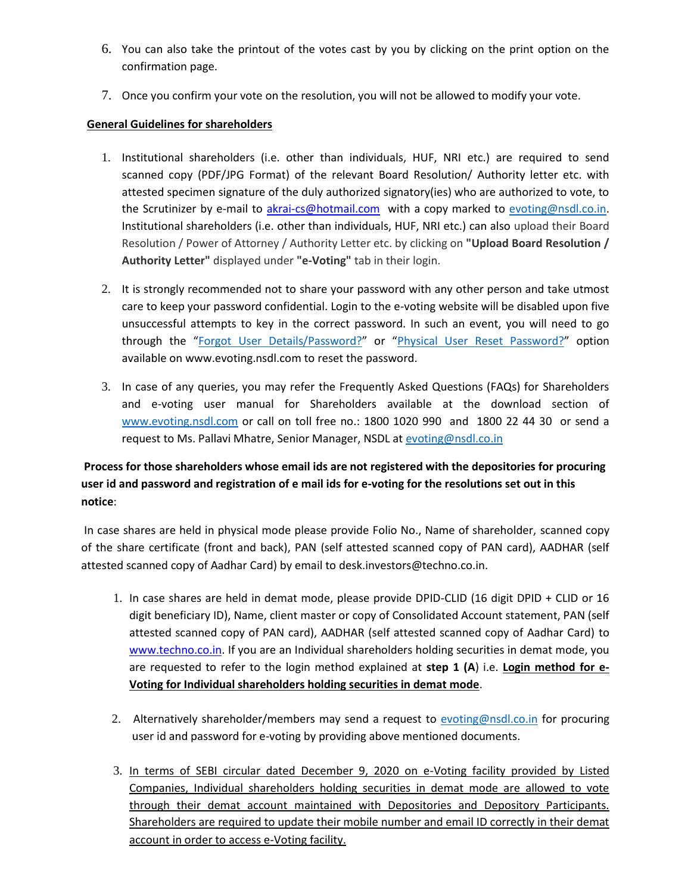- 6. You can also take the printout of the votes cast by you by clicking on the print option on the confirmation page.
- 7. Once you confirm your vote on the resolution, you will not be allowed to modify your vote.

# **General Guidelines for shareholders**

- 1. Institutional shareholders (i.e. other than individuals, HUF, NRI etc.) are required to send scanned copy (PDF/JPG Format) of the relevant Board Resolution/ Authority letter etc. with attested specimen signature of the duly authorized signatory(ies) who are authorized to vote, to the Scrutinizer by e-mail to [akrai-cs@hotmail.com](mailto:akrai-cs@hotmail.com) with a copy marked to [evoting@nsdl.co.in.](mailto:evoting@nsdl.co.in) Institutional shareholders (i.e. other than individuals, HUF, NRI etc.) can also upload their Board Resolution / Power of Attorney / Authority Letter etc. by clicking on **"Upload Board Resolution / Authority Letter"** displayed under **"e-Voting"** tab in their login.
- 2. It is strongly recommended not to share your password with any other person and take utmost care to keep your password confidential. Login to the e-voting website will be disabled upon five unsuccessful attempts to key in the correct password. In such an event, you will need to go through the "Forgot User [Details/Password?](https://www.evoting.nsdl.com/eVotingWeb/commonhtmls/NewUser.jsp)" or "[Physical User Reset Password?](https://www.evoting.nsdl.com/eVotingWeb/commonhtmls/PhysicalUser.jsp)" option available on www.evoting.nsdl.com to reset the password.
- 3. In case of any queries, you may refer the Frequently Asked Questions (FAQs) for Shareholders and e-voting user manual for Shareholders available at the download section of [www.evoting.nsdl.com](http://www.evoting.nsdl.com/) or call on toll free no.: 1800 1020 990 and 1800 22 44 30 or send a request to Ms. Pallavi Mhatre, Senior Manager, NSDL a[t evoting@nsdl.co.in](mailto:evoting@nsdl.co.in)

# **Process for those shareholders whose email ids are not registered with the depositories for procuring user id and password and registration of e mail ids for e-voting for the resolutions set out in this notice**:

In case shares are held in physical mode please provide Folio No., Name of shareholder, scanned copy of the share certificate (front and back), PAN (self attested scanned copy of PAN card), AADHAR (self attested scanned copy of Aadhar Card) by email to desk.investors@techno.co.in.

- 1. In case shares are held in demat mode, please provide DPID-CLID (16 digit DPID + CLID or 16 digit beneficiary ID), Name, client master or copy of Consolidated Account statement, PAN (self attested scanned copy of PAN card), AADHAR (self attested scanned copy of Aadhar Card) to [www.techno.co.in.](http://www.techno.co.in/) If you are an Individual shareholders holding securities in demat mode, you are requested to refer to the login method explained at **step 1 (A**) i.e. **Login method for e-Voting for Individual shareholders holding securities in demat mode**.
- 2. Alternatively shareholder/members may send a request to [evoting@nsdl.co.in](mailto:evoting@nsdl.co.in) for procuring user id and password for e-voting by providing above mentioned documents.
- 3. In terms of SEBI circular dated December 9, 2020 on e-Voting facility provided by Listed Companies, Individual shareholders holding securities in demat mode are allowed to vote through their demat account maintained with Depositories and Depository Participants. Shareholders are required to update their mobile number and email ID correctly in their demat account in order to access e-Voting facility.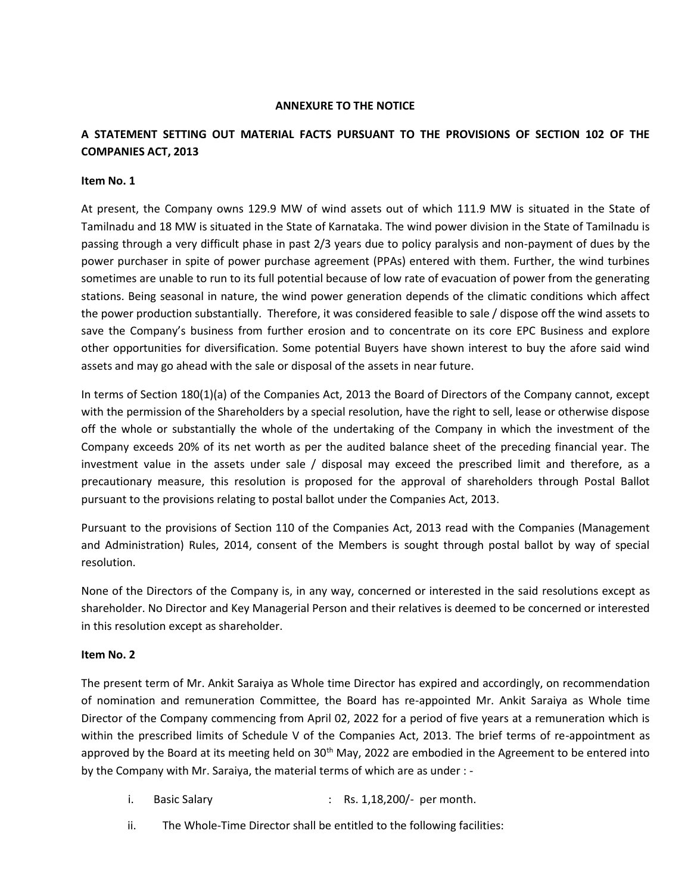# **ANNEXURE TO THE NOTICE**

# **A STATEMENT SETTING OUT MATERIAL FACTS PURSUANT TO THE PROVISIONS OF SECTION 102 OF THE COMPANIES ACT, 2013**

#### **Item No. 1**

At present, the Company owns 129.9 MW of wind assets out of which 111.9 MW is situated in the State of Tamilnadu and 18 MW is situated in the State of Karnataka. The wind power division in the State of Tamilnadu is passing through a very difficult phase in past 2/3 years due to policy paralysis and non-payment of dues by the power purchaser in spite of power purchase agreement (PPAs) entered with them. Further, the wind turbines sometimes are unable to run to its full potential because of low rate of evacuation of power from the generating stations. Being seasonal in nature, the wind power generation depends of the climatic conditions which affect the power production substantially. Therefore, it was considered feasible to sale / dispose off the wind assets to save the Company's business from further erosion and to concentrate on its core EPC Business and explore other opportunities for diversification. Some potential Buyers have shown interest to buy the afore said wind assets and may go ahead with the sale or disposal of the assets in near future.

In terms of Section 180(1)(a) of the Companies Act, 2013 the Board of Directors of the Company cannot, except with the permission of the Shareholders by a special resolution, have the right to sell, lease or otherwise dispose off the whole or substantially the whole of the undertaking of the Company in which the investment of the Company exceeds 20% of its net worth as per the audited balance sheet of the preceding financial year. The investment value in the assets under sale / disposal may exceed the prescribed limit and therefore, as a precautionary measure, this resolution is proposed for the approval of shareholders through Postal Ballot pursuant to the provisions relating to postal ballot under the Companies Act, 2013.

Pursuant to the provisions of Section 110 of the Companies Act, 2013 read with the Companies (Management and Administration) Rules, 2014, consent of the Members is sought through postal ballot by way of special resolution.

None of the Directors of the Company is, in any way, concerned or interested in the said resolutions except as shareholder. No Director and Key Managerial Person and their relatives is deemed to be concerned or interested in this resolution except as shareholder.

# **Item No. 2**

The present term of Mr. Ankit Saraiya as Whole time Director has expired and accordingly, on recommendation of nomination and remuneration Committee, the Board has re-appointed Mr. Ankit Saraiya as Whole time Director of the Company commencing from April 02, 2022 for a period of five years at a remuneration which is within the prescribed limits of Schedule V of the Companies Act, 2013. The brief terms of re-appointment as approved by the Board at its meeting held on 30<sup>th</sup> May, 2022 are embodied in the Agreement to be entered into by the Company with Mr. Saraiya, the material terms of which are as under : -

- i. Basic Salary : Rs. 1,18,200/- per month.
- ii. The Whole-Time Director shall be entitled to the following facilities: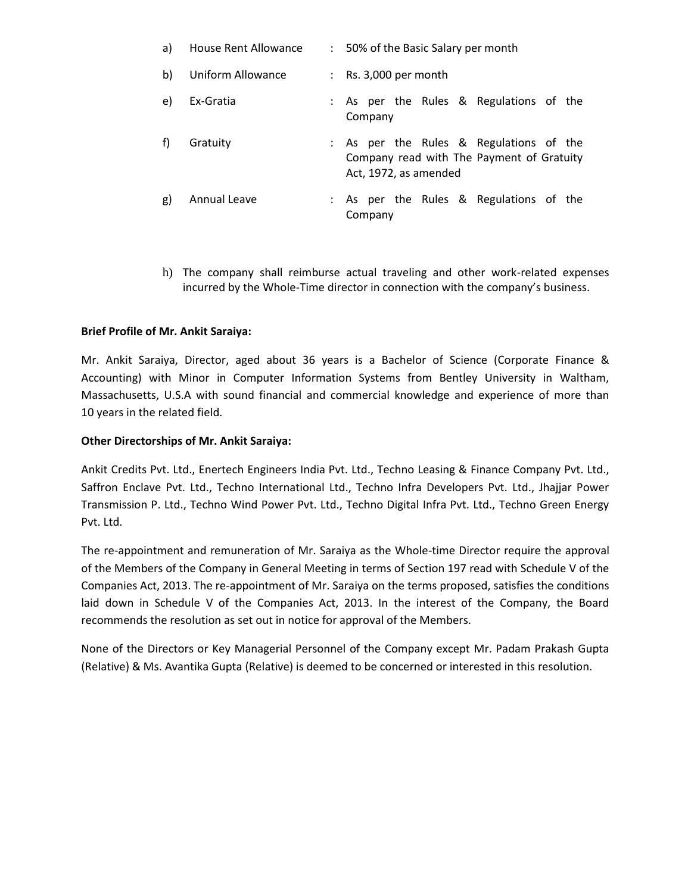| a) | House Rent Allowance | : 50% of the Basic Salary per month                                                                           |
|----|----------------------|---------------------------------------------------------------------------------------------------------------|
| b) | Uniform Allowance    | : Rs. $3,000$ per month                                                                                       |
| e) | Ex-Gratia            | : As per the Rules & Regulations of the<br>Company                                                            |
| f) | Gratuity             | : As per the Rules & Regulations of the<br>Company read with The Payment of Gratuity<br>Act, 1972, as amended |
| g) | Annual Leave         | : As per the Rules & Regulations of the<br>Company                                                            |

h) The company shall reimburse actual traveling and other work-related expenses incurred by the Whole-Time director in connection with the company's business.

# **Brief Profile of Mr. Ankit Saraiya:**

Mr. Ankit Saraiya, Director, aged about 36 years is a Bachelor of Science (Corporate Finance & Accounting) with Minor in Computer Information Systems from Bentley University in Waltham, Massachusetts, U.S.A with sound financial and commercial knowledge and experience of more than 10 years in the related field.

#### **Other Directorships of Mr. Ankit Saraiya:**

Ankit Credits Pvt. Ltd., Enertech Engineers India Pvt. Ltd., Techno Leasing & Finance Company Pvt. Ltd., Saffron Enclave Pvt. Ltd., Techno International Ltd., Techno Infra Developers Pvt. Ltd., Jhajjar Power Transmission P. Ltd., Techno Wind Power Pvt. Ltd., Techno Digital Infra Pvt. Ltd., Techno Green Energy Pvt. Ltd.

The re-appointment and remuneration of Mr. Saraiya as the Whole-time Director require the approval of the Members of the Company in General Meeting in terms of Section 197 read with Schedule V of the Companies Act, 2013. The re-appointment of Mr. Saraiya on the terms proposed, satisfies the conditions laid down in Schedule V of the Companies Act, 2013. In the interest of the Company, the Board recommends the resolution as set out in notice for approval of the Members.

None of the Directors or Key Managerial Personnel of the Company except Mr. Padam Prakash Gupta (Relative) & Ms. Avantika Gupta (Relative) is deemed to be concerned or interested in this resolution.